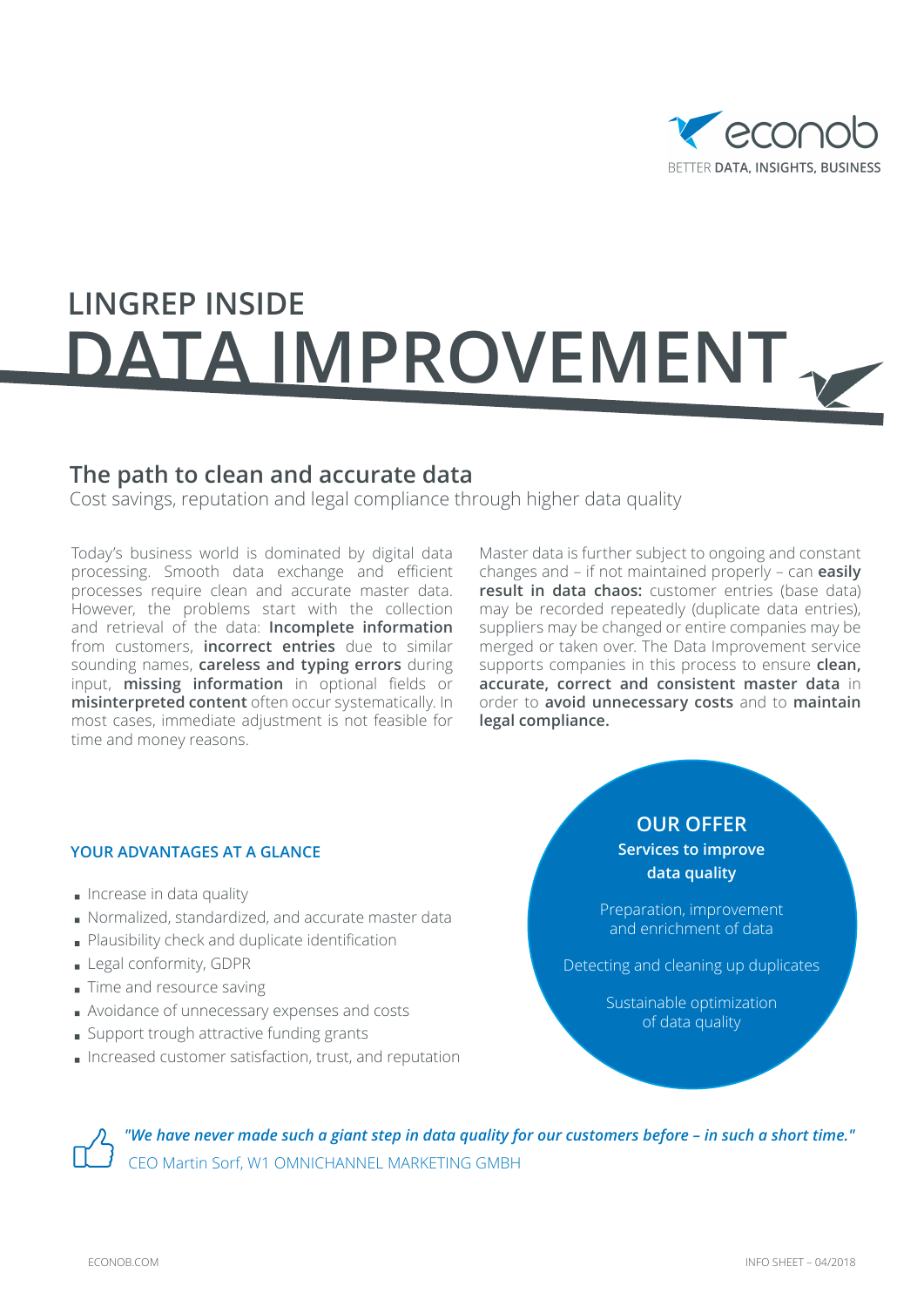

# **DATA IMPROVEMENT LINGREP INSIDE**

# **The path to clean and accurate data**

Cost savings, reputation and legal compliance through higher data quality

Today's business world is dominated by digital data processing. Smooth data exchange and efficient processes require clean and accurate master data. However, the problems start with the collection and retrieval of the data: **Incomplete information**  from customers, **incorrect entries** due to similar sounding names, **careless and typing errors** during input, **missing information** in optional fields or **misinterpreted content** often occur systematically. In most cases, immediate adjustment is not feasible for time and money reasons.

Master data is further subject to ongoing and constant changes and – if not maintained properly – can **easily result in data chaos:** customer entries (base data) may be recorded repeatedly (duplicate data entries), suppliers may be changed or entire companies may be merged or taken over. The Data Improvement service supports companies in this process to ensure **clean, accurate, correct and consistent master data** in order to **avoid unnecessary costs** and to **maintain legal compliance.**

#### **YOUR ADVANTAGES AT A GLANCE**

- Increase in data quality
- Normalized, standardized, and accurate master data
- Plausibility check and duplicate identification
- Legal conformity, GDPR
- Time and resource saving
- Avoidance of unnecessary expenses and costs
- **Support trough attractive funding grants**
- Increased customer satisfaction, trust, and reputation



*"We have never made such a giant step in data quality for our customers before – in such a short time."* CEO Martin Sorf, W1 OMNICHANNEL MARKETING GMBH